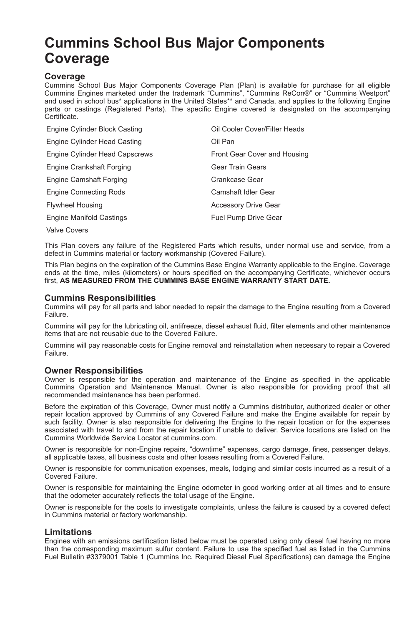# **Cummins School Bus Major Components Coverage**

### **Coverage**

Cummins School Bus Major Components Coverage Plan (Plan) is available for purchase for all eligible Cummins Engines marketed under the trademark "Cummins", "Cummins ReCon®" or "Cummins Westport" and used in school bus\* applications in the United States\*\* and Canada, and applies to the following Engine parts or castings (Registered Parts). The specific Engine covered is designated on the accompanying Certificate.

| Engine Cylinder Block Casting  | Oil Cooler Cover/Filter Heads |
|--------------------------------|-------------------------------|
| Engine Cylinder Head Casting   | Oil Pan                       |
| Engine Cylinder Head Capscrews | Front Gear Cover and Housing  |
| Engine Crankshaft Forging      | <b>Gear Train Gears</b>       |
| <b>Engine Camshaft Forging</b> | Crankcase Gear                |
| <b>Engine Connecting Rods</b>  | Camshaft Idler Gear           |
| <b>Flywheel Housing</b>        | <b>Accessory Drive Gear</b>   |
| Engine Manifold Castings       | Fuel Pump Drive Gear          |
|                                |                               |

Valve Covers

This Plan covers any failure of the Registered Parts which results, under normal use and service, from a defect in Cummins material or factory workmanship (Covered Failure).

This Plan begins on the expiration of the Cummins Base Engine Warranty applicable to the Engine. Coverage ends at the time, miles (kilometers) or hours specified on the accompanying Certificate, whichever occurs first, **AS MEASURED FROM THE CUMMINS BASE ENGINE WARRANTY START DATE.**

## **Cummins Responsibilities**

Cummins will pay for all parts and labor needed to repair the damage to the Engine resulting from a Covered Failure.

Cummins will pay for the lubricating oil, antifreeze, diesel exhaust fluid, filter elements and other maintenance items that are not reusable due to the Covered Failure.

Cummins will pay reasonable costs for Engine removal and reinstallation when necessary to repair a Covered Failure.

# **Owner Responsibilities**

Owner is responsible for the operation and maintenance of the Engine as specified in the applicable Cummins Operation and Maintenance Manual. Owner is also responsible for providing proof that all recommended maintenance has been performed.

Before the expiration of this Coverage, Owner must notify a Cummins distributor, authorized dealer or other repair location approved by Cummins of any Covered Failure and make the Engine available for repair by such facility. Owner is also responsible for delivering the Engine to the repair location or for the expenses associated with travel to and from the repair location if unable to deliver. Service locations are listed on the Cummins Worldwide Service Locator at cummins.com.

Owner is responsible for non-Engine repairs, "downtime" expenses, cargo damage, fines, passenger delays, all applicable taxes, all business costs and other losses resulting from a Covered Failure.

Owner is responsible for communication expenses, meals, lodging and similar costs incurred as a result of a Covered Failure.

Owner is responsible for maintaining the Engine odometer in good working order at all times and to ensure that the odometer accurately reflects the total usage of the Engine.

Owner is responsible for the costs to investigate complaints, unless the failure is caused by a covered defect in Cummins material or factory workmanship.

### **Limitations**

Engines with an emissions certification listed below must be operated using only diesel fuel having no more than the corresponding maximum sulfur content. Failure to use the specified fuel as listed in the Cummins Fuel Bulletin #3379001 Table 1 (Cummins Inc. Required Diesel Fuel Specifications) can damage the Engine